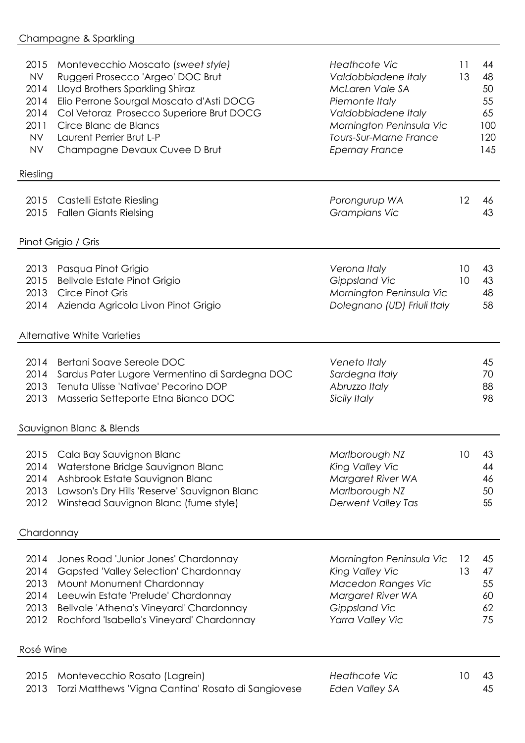| 2015<br><b>NV</b><br>2014<br>2014<br>2014<br>2011<br><b>NV</b><br><b>NV</b> | Montevecchio Moscato (sweet style)<br>Ruggeri Prosecco 'Argeo' DOC Brut<br>Lloyd Brothers Sparkling Shiraz<br>Elio Perrone Sourgal Moscato d'Asti DOCG<br>Col Vetoraz Prosecco Superiore Brut DOCG<br>Circe Blanc de Blancs<br>Laurent Perrier Brut L-P<br>Champagne Devaux Cuvee D Brut | <b>Heathcote Vic</b><br>Valdobbiadene Italy<br>McLaren Vale SA<br>Piemonte Italy<br>Valdobbiadene Italy<br>Mornington Peninsula Vic<br>Tours-Sur-Marne France<br><b>Epernay France</b> | 11<br>13 | 44<br>48<br>50<br>55<br>65<br>100<br>120<br>145 |
|-----------------------------------------------------------------------------|------------------------------------------------------------------------------------------------------------------------------------------------------------------------------------------------------------------------------------------------------------------------------------------|----------------------------------------------------------------------------------------------------------------------------------------------------------------------------------------|----------|-------------------------------------------------|
| Riesling                                                                    |                                                                                                                                                                                                                                                                                          |                                                                                                                                                                                        |          |                                                 |
| 2015<br>2015                                                                | Castelli Estate Riesling<br><b>Fallen Giants Rielsing</b>                                                                                                                                                                                                                                | Porongurup WA<br>Grampians Vic                                                                                                                                                         | 12       | 46<br>43                                        |
|                                                                             | Pinot Grigio / Gris                                                                                                                                                                                                                                                                      |                                                                                                                                                                                        |          |                                                 |
| 2015<br>2013<br>2014                                                        | 2013 Pasqua Pinot Grigio<br><b>Bellvale Estate Pinot Grigio</b><br><b>Circe Pinot Gris</b><br>Azienda Agricola Livon Pinot Grigio                                                                                                                                                        | Verona Italy<br>Gippsland Vic<br>Mornington Peninsula Vic<br>Dolegnano (UD) Friuli Italy                                                                                               | 10<br>10 | 43<br>43<br>48<br>58                            |
|                                                                             | <b>Alternative White Varieties</b>                                                                                                                                                                                                                                                       |                                                                                                                                                                                        |          |                                                 |
| 2014<br>2014<br>2013<br>2013                                                | Bertani Soave Sereole DOC<br>Sardus Pater Lugore Vermentino di Sardegna DOC<br>Tenuta Ulisse 'Nativae' Pecorino DOP<br>Masseria Setteporte Etna Bianco DOC                                                                                                                               | Veneto Italy<br>Sardegna Italy<br>Abruzzo Italy<br>Sicily Italy                                                                                                                        |          | 45<br>70<br>88<br>98                            |
|                                                                             | Sauvignon Blanc & Blends                                                                                                                                                                                                                                                                 |                                                                                                                                                                                        |          |                                                 |
| 2014<br>2014<br>2013<br>2012                                                | 2015 Cala Bay Sauvignon Blanc<br>Waterstone Bridge Sauvignon Blanc<br>Ashbrook Estate Sauvignon Blanc<br>Lawson's Dry Hills 'Reserve' Sauvignon Blanc<br>Winstead Sauvignon Blanc (fume style)                                                                                           | Marlborough NZ<br>King Valley Vic<br>Margaret River WA<br>Marlborough NZ<br>Derwent Valley Tas                                                                                         | 10       | 43<br>44<br>46<br>50<br>55                      |
| Chardonnay                                                                  |                                                                                                                                                                                                                                                                                          |                                                                                                                                                                                        |          |                                                 |
| 2014<br>2014<br>2013<br>2014<br>2013<br>2012                                | Jones Road 'Junior Jones' Chardonnay<br><b>Gapsted 'Valley Selection' Chardonnay</b><br>Mount Monument Chardonnay<br>Leeuwin Estate 'Prelude' Chardonnay<br>Bellvale 'Athena's Vineyard' Chardonnay<br>Rochford 'Isabella's Vineyard' Chardonnay                                         | Mornington Peninsula Vic<br>King Valley Vic<br>Macedon Ranges Vic<br>Margaret River WA<br>Gippsland Vic<br>Yarra Valley Vic                                                            | 12<br>13 | 45<br>47<br>55<br>60<br>62<br>75                |
| Rosé Wine                                                                   |                                                                                                                                                                                                                                                                                          |                                                                                                                                                                                        |          |                                                 |
| 2015<br>2013                                                                | Montevecchio Rosato (Lagrein)<br>Torzi Matthews 'Vigna Cantina' Rosato di Sangiovese                                                                                                                                                                                                     | <b>Heathcote Vic</b><br>Eden Valley SA                                                                                                                                                 | 10       | 43<br>45                                        |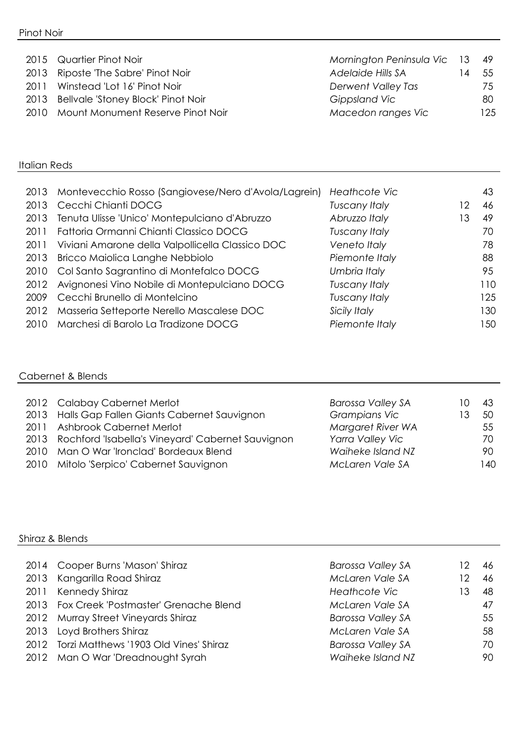|      | 2015 Quartier Pinot Noir                | Mornington Peninsula Vic 13 49 |     |      |
|------|-----------------------------------------|--------------------------------|-----|------|
|      | 2013 Riposte 'The Sabre' Pinot Noir     | Adelaide Hills SA              | 1 4 | -55  |
| 2011 | Winstead 'Lot 16' Pinot Noir            | Derwent Valley Tas             |     | 75   |
|      | 2013 Bellvale 'Stoney Block' Pinot Noir | Gippsland Vic                  |     | 80   |
|      | 2010 Mount Monument Reserve Pinot Noir  | Macedon ranges Vic             |     | 125. |

#### Italian Reds

| 2013 | Montevecchio Rosso (Sangiovese/Nero d'Avola/Lagrein) | Heathcote Vic        |    | 43  |
|------|------------------------------------------------------|----------------------|----|-----|
| 2013 | Cecchi Chianti DOCG                                  | <b>Tuscany Italy</b> | 12 | 46  |
| 2013 | Tenuta Ulisse 'Unico' Montepulciano d'Abruzzo        | Abruzzo Italy        | 13 | 49  |
| 2011 | Fattoria Ormanni Chianti Classico DOCG               | <b>Tuscany Italy</b> |    | 70  |
| 2011 | Viviani Amarone della Valpollicella Classico DOC     | Veneto Italy         |    | 78  |
| 2013 | Bricco Maiolica Langhe Nebbiolo                      | Piemonte Italy       |    | 88  |
| 2010 | Col Santo Sagrantino di Montefalco DOCG              | Umbria Italy         |    | 95  |
| 2012 | Avignonesi Vino Nobile di Montepulciano DOCG         | <b>Tuscany Italy</b> |    | 110 |
| 2009 | Cecchi Brunello di Montelcino                        | <b>Tuscany Italy</b> |    | 125 |
| 2012 | Masseria Setteporte Nerello Mascalese DOC            | Sicily Italy         |    | 130 |
| 2010 | Marchesi di Barolo La Tradizone DOCG                 | Piemonte Italy       |    | 150 |

#### Cabernet & Blends

| 2012 Calabay Cabernet Merlot                           | <b>Barossa Valley SA</b> | 43   |
|--------------------------------------------------------|--------------------------|------|
| 2013 Halls Gap Fallen Giants Cabernet Sauvignon        | <b>Grampians Vic</b>     | 50   |
| 2011 Ashbrook Cabernet Merlot                          | Margaret River WA        | 55   |
| 2013 Rochford 'Isabella's Vineyard' Cabernet Sauvignon | Yarra Valley Vic         | 70.  |
| 2010 Man O War 'Ironclad' Bordeaux Blend               | Waiheke Island NZ        | 90.  |
| 2010 Mitolo 'Serpico' Cabernet Sauvignon               | McLaren Vale SA          | l 40 |

#### Shiraz & Blends

| 2014 Cooper Burns 'Mason' Shiraz            | <b>Barossa Valley SA</b> | 12. | -46 |
|---------------------------------------------|--------------------------|-----|-----|
| 2013 Kangarilla Road Shiraz                 | McLaren Vale SA          | 12  | 46  |
| 2011 Kennedy Shiraz                         | Heathcote Vic            | 13  | 48  |
| 2013 Fox Creek 'Postmaster' Grenache Blend  | McLaren Vale SA          |     | 47  |
| 2012 Murray Street Vineyards Shiraz         | <b>Barossa Valley SA</b> |     | 55  |
| 2013 Loyd Brothers Shiraz                   | McLaren Vale SA          |     | 58  |
| 2012 Torzi Matthews '1903 Old Vines' Shiraz | <b>Barossa Valley SA</b> |     | 70. |
| 2012 Man O War 'Dreadnought Syrah           | Waiheke Island NZ        |     | 90. |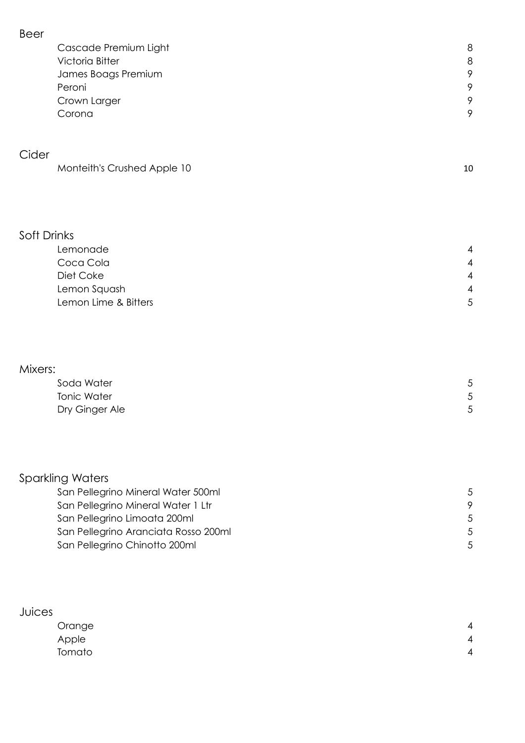| Cascade Premium Light | 8       |
|-----------------------|---------|
| Victoria Bitter       | 8       |
| James Boags Premium   | 9       |
| Peroni                | 9       |
| Crown Larger          | 9       |
| Corona                | $\circ$ |
|                       |         |

### Cider

| Monteith's Crushed Apple 10 |  |
|-----------------------------|--|
|-----------------------------|--|

#### Soft Drinks

| Lemonade             | $\overline{4}$ |
|----------------------|----------------|
| Coca Cola            | 4              |
| Diet Coke            | 4              |
| Lemon Squash         | 4              |
| Lemon Lime & Bitters | 5              |

#### Mixers:

| Soda Water         |   |
|--------------------|---|
| <b>Tonic Water</b> | ᄃ |
| Dry Ginger Ale     | г |

# Sparkling Waters

| San Pellegrino Mineral Water 500ml   |    |
|--------------------------------------|----|
| San Pellegrino Mineral Water 1 Ltr   |    |
| San Pellegrino Limoata 200ml         | .5 |
| San Pellegrino Aranciata Rosso 200ml |    |
| San Pellegrino Chinotto 200ml        | 5  |

#### Juices Orange 4 Apple the contract of the contract of the contract of the contract of the contract of the contract of the contract of the contract of the contract of the contract of the contract of the contract of the contract of the cont Tomato 4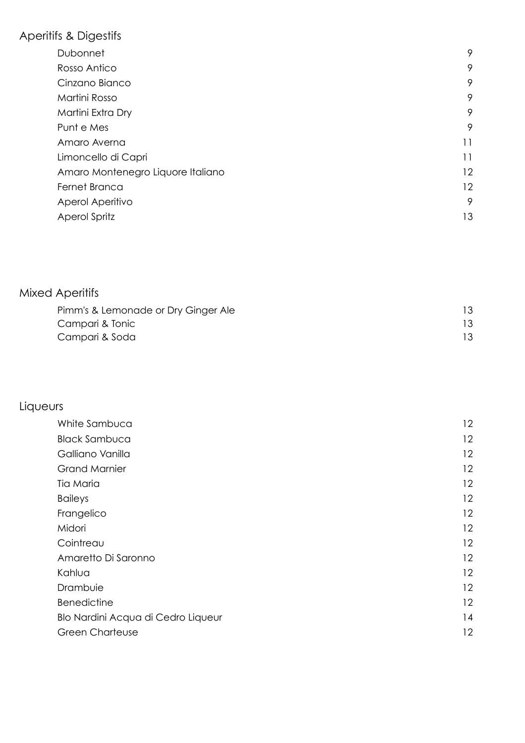# Aperitifs & Digestifs

| Dubonnet                          | 9  |
|-----------------------------------|----|
| Rosso Antico                      | 9  |
| Cinzano Bianco                    | 9  |
| Martini Rosso                     | 9  |
| Martini Extra Dry                 | 9  |
| Punt e Mes                        | 9  |
| Amaro Averna                      | 11 |
| Limoncello di Capri               | 11 |
| Amaro Montenegro Liquore Italiano | 12 |
| Fernet Branca                     | 12 |
| Aperol Aperitivo                  | 9  |
| Aperol Spritz                     | 13 |
|                                   |    |

## Mixed Aperitifs

| Pimm's & Lemonade or Dry Ginger Ale | 13. |
|-------------------------------------|-----|
| Campari & Tonic                     | 13  |
| Campari & Soda                      | 13. |

# Liqueurs

| White Sambuca                      | 12 |
|------------------------------------|----|
| <b>Black Sambuca</b>               | 12 |
| Galliano Vanilla                   | 12 |
| <b>Grand Marnier</b>               | 12 |
| Tia Maria                          | 12 |
| <b>Baileys</b>                     | 12 |
| Frangelico                         | 12 |
| Midori                             | 12 |
| Cointreau                          | 12 |
| Amaretto Di Saronno                | 12 |
| Kahlua                             | 12 |
| Drambuie                           | 12 |
| <b>Benedictine</b>                 | 12 |
| Blo Nardini Acqua di Cedro Liqueur | 14 |
| <b>Green Charteuse</b>             | 12 |
|                                    |    |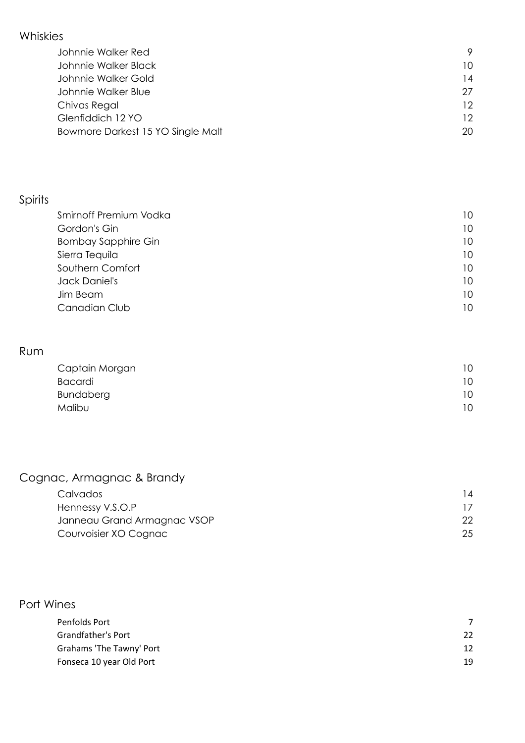### Whiskies

| Johnnie Walker Red                |    |
|-----------------------------------|----|
| Johnnie Walker Black              | 10 |
| Johnnie Walker Gold               | 14 |
| Johnnie Walker Blue               | 27 |
| Chivas Regal                      | 12 |
| Glenfiddich 12 YO                 | 12 |
| Bowmore Darkest 15 YO Single Malt | 20 |

# Spirits

| Smirnoff Premium Vodka     | 10 |
|----------------------------|----|
| Gordon's Gin               | 10 |
| <b>Bombay Sapphire Gin</b> | 10 |
| Sierra Tequila             | 10 |
| Southern Comfort           | 10 |
| Jack Daniel's              | 10 |
| Jim Beam                   | 10 |
| Canadian Club              | 10 |

### Rum

| Captain Morgan | 10 |
|----------------|----|
| Bacardi        | 10 |
| Bundaberg      | 10 |
| <b>Malibu</b>  | 10 |

## Cognac, Armagnac & Brandy

| Calvados                    | 14 |
|-----------------------------|----|
| Hennessy V.S.O.P            |    |
| Janneau Grand Armagnac VSOP | 22 |
| Courvoisier XO Cognac       | 25 |

### Port Wines

| Penfolds Port             |    |
|---------------------------|----|
| <b>Grandfather's Port</b> | 22 |
| Grahams 'The Tawny' Port  | 12 |
| Fonseca 10 year Old Port  | 19 |